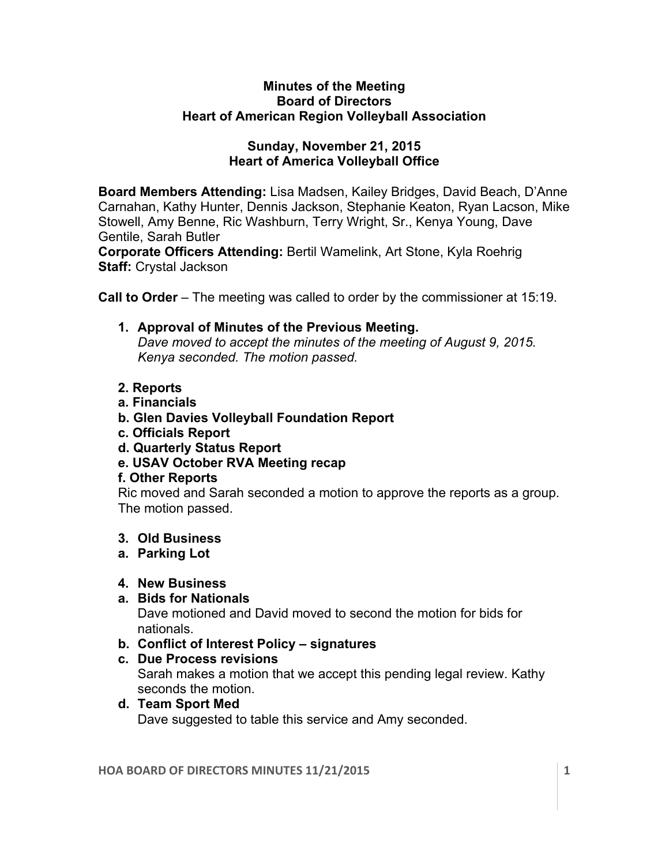#### **Minutes of the Meeting Board of Directors Heart of American Region Volleyball Association**

#### **Sunday, November 21, 2015 Heart of America Volleyball Office**

**Board Members Attending:** Lisa Madsen, Kailey Bridges, David Beach, D'Anne Carnahan, Kathy Hunter, Dennis Jackson, Stephanie Keaton, Ryan Lacson, Mike Stowell, Amy Benne, Ric Washburn, Terry Wright, Sr., Kenya Young, Dave Gentile, Sarah Butler

**Corporate Officers Attending:** Bertil Wamelink, Art Stone, Kyla Roehrig **Staff:** Crystal Jackson

**Call to Order** – The meeting was called to order by the commissioner at 15:19.

- **1. Approval of Minutes of the Previous Meeting.**  *Dave moved to accept the minutes of the meeting of August 9, 2015. Kenya seconded. The motion passed.*
- **2. Reports**
- **a. Financials**
- **b. Glen Davies Volleyball Foundation Report**
- **c. Officials Report**
- **d. Quarterly Status Report**
- **e. USAV October RVA Meeting recap**

## **f. Other Reports**

Ric moved and Sarah seconded a motion to approve the reports as a group. The motion passed.

## **3. Old Business**

## **a. Parking Lot**

## **4. New Business**

## **a. Bids for Nationals**

Dave motioned and David moved to second the motion for bids for nationals.

- **b. Conflict of Interest Policy – signatures**
- **c. Due Process revisions**

Sarah makes a motion that we accept this pending legal review. Kathy seconds the motion.

# **d. Team Sport Med**

Dave suggested to table this service and Amy seconded.

**HOA BOARD OF DIRECTORS MINUTES 11/21/2015 1**